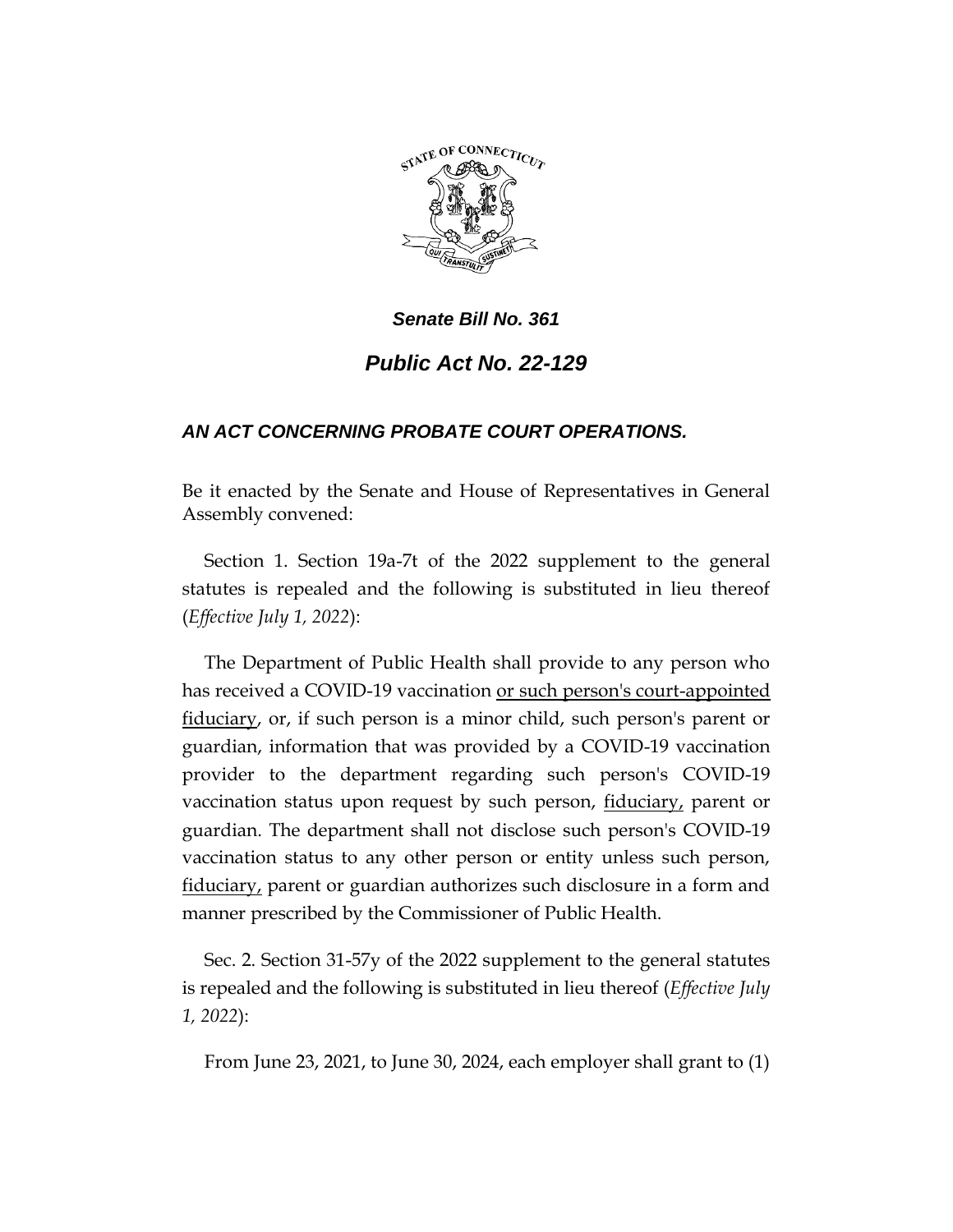

# *Public Act No. 22-129*

## *AN ACT CONCERNING PROBATE COURT OPERATIONS.*

Be it enacted by the Senate and House of Representatives in General Assembly convened:

Section 1. Section 19a-7t of the 2022 supplement to the general statutes is repealed and the following is substituted in lieu thereof (*Effective July 1, 2022*):

The Department of Public Health shall provide to any person who has received a COVID-19 vaccination or such person's court-appointed fiduciary, or, if such person is a minor child, such person's parent or guardian, information that was provided by a COVID-19 vaccination provider to the department regarding such person's COVID-19 vaccination status upon request by such person, fiduciary, parent or guardian. The department shall not disclose such person's COVID-19 vaccination status to any other person or entity unless such person, fiduciary, parent or guardian authorizes such disclosure in a form and manner prescribed by the Commissioner of Public Health.

Sec. 2. Section 31-57y of the 2022 supplement to the general statutes is repealed and the following is substituted in lieu thereof (*Effective July 1, 2022*):

From June 23, 2021, to June 30, 2024, each employer shall grant to (1)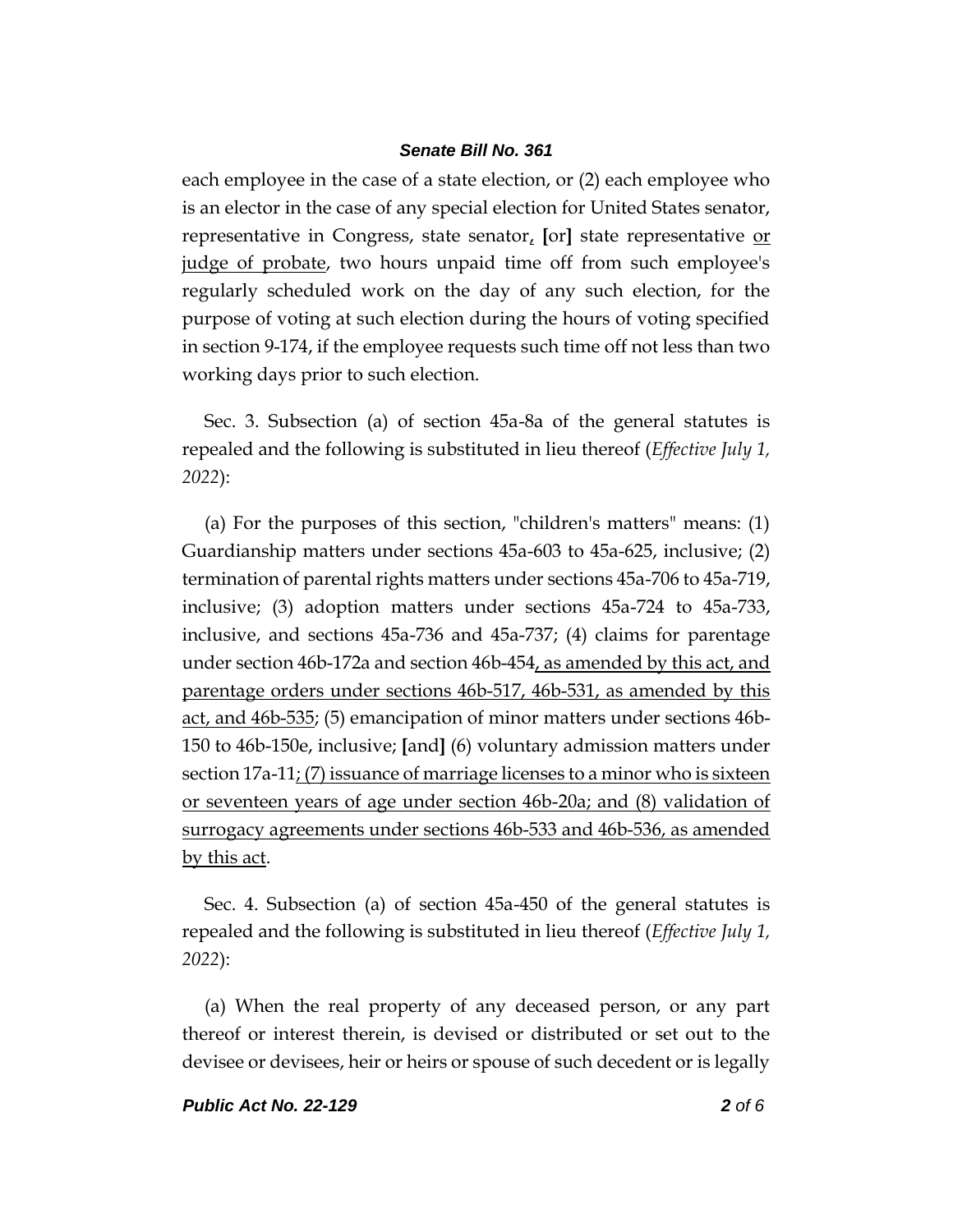each employee in the case of a state election, or (2) each employee who is an elector in the case of any special election for United States senator, representative in Congress, state senator, **[**or**]** state representative or judge of probate, two hours unpaid time off from such employee's regularly scheduled work on the day of any such election, for the purpose of voting at such election during the hours of voting specified in section 9-174, if the employee requests such time off not less than two working days prior to such election.

Sec. 3. Subsection (a) of section 45a-8a of the general statutes is repealed and the following is substituted in lieu thereof (*Effective July 1, 2022*):

(a) For the purposes of this section, "children's matters" means: (1) Guardianship matters under sections 45a-603 to 45a-625, inclusive; (2) termination of parental rights matters under sections 45a-706 to 45a-719, inclusive; (3) adoption matters under sections 45a-724 to 45a-733, inclusive, and sections 45a-736 and 45a-737; (4) claims for parentage under section 46b-172a and section 46b-454, as amended by this act, and parentage orders under sections 46b-517, 46b-531, as amended by this act, and 46b-535; (5) emancipation of minor matters under sections 46b-150 to 46b-150e, inclusive; **[**and**]** (6) voluntary admission matters under section  $17a-11$ ; (7) issuance of marriage licenses to a minor who is sixteen or seventeen years of age under section 46b-20a; and (8) validation of surrogacy agreements under sections 46b-533 and 46b-536, as amended by this act.

Sec. 4. Subsection (a) of section 45a-450 of the general statutes is repealed and the following is substituted in lieu thereof (*Effective July 1, 2022*):

(a) When the real property of any deceased person, or any part thereof or interest therein, is devised or distributed or set out to the devisee or devisees, heir or heirs or spouse of such decedent or is legally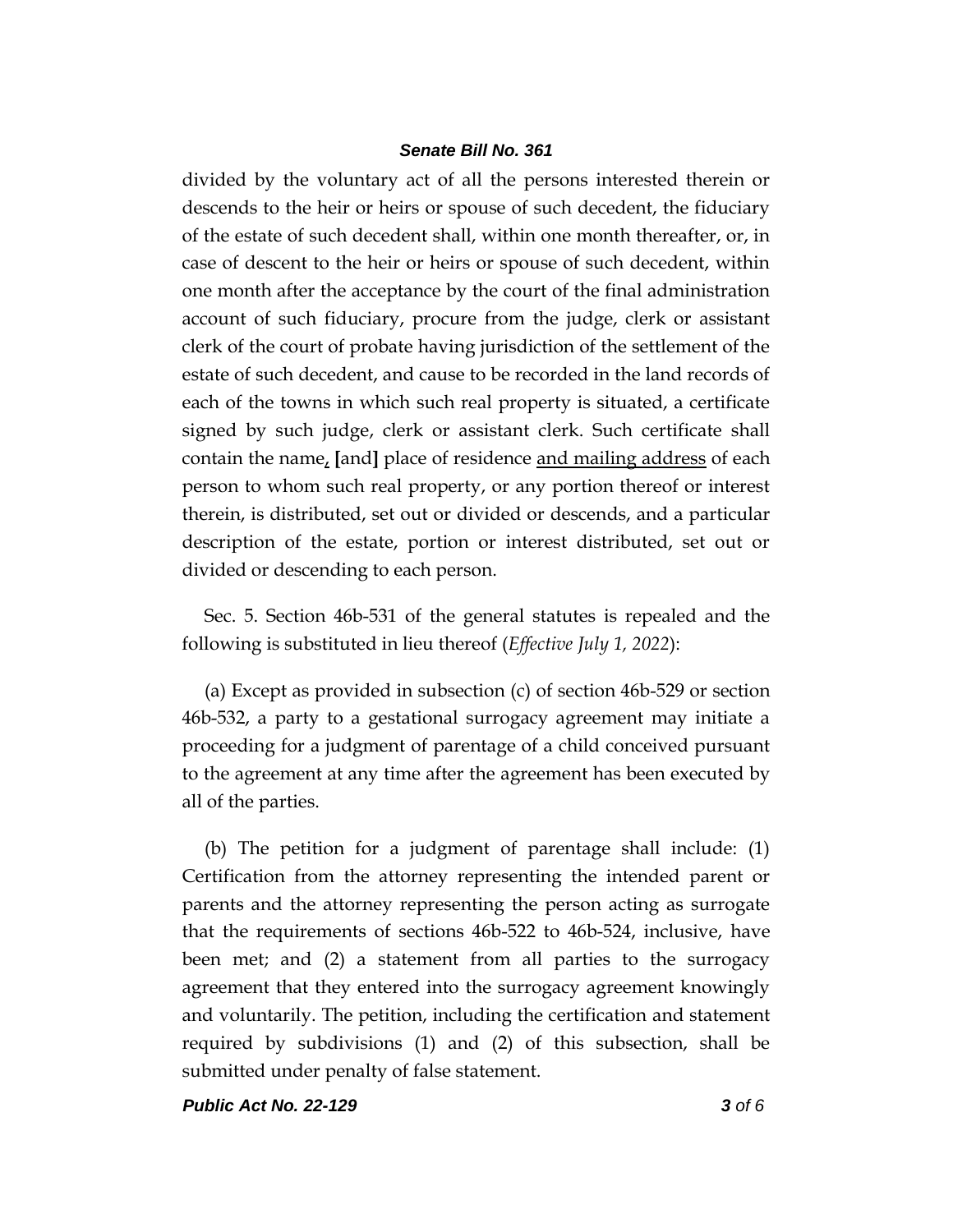divided by the voluntary act of all the persons interested therein or descends to the heir or heirs or spouse of such decedent, the fiduciary of the estate of such decedent shall, within one month thereafter, or, in case of descent to the heir or heirs or spouse of such decedent, within one month after the acceptance by the court of the final administration account of such fiduciary, procure from the judge, clerk or assistant clerk of the court of probate having jurisdiction of the settlement of the estate of such decedent, and cause to be recorded in the land records of each of the towns in which such real property is situated, a certificate signed by such judge, clerk or assistant clerk. Such certificate shall contain the name, **[**and**]** place of residence and mailing address of each person to whom such real property, or any portion thereof or interest therein, is distributed, set out or divided or descends, and a particular description of the estate, portion or interest distributed, set out or divided or descending to each person.

Sec. 5. Section 46b-531 of the general statutes is repealed and the following is substituted in lieu thereof (*Effective July 1, 2022*):

(a) Except as provided in subsection (c) of section 46b-529 or section 46b-532, a party to a gestational surrogacy agreement may initiate a proceeding for a judgment of parentage of a child conceived pursuant to the agreement at any time after the agreement has been executed by all of the parties.

(b) The petition for a judgment of parentage shall include: (1) Certification from the attorney representing the intended parent or parents and the attorney representing the person acting as surrogate that the requirements of sections 46b-522 to 46b-524, inclusive, have been met; and (2) a statement from all parties to the surrogacy agreement that they entered into the surrogacy agreement knowingly and voluntarily. The petition, including the certification and statement required by subdivisions (1) and (2) of this subsection, shall be submitted under penalty of false statement.

*Public Act No. 22-129 3 of 6*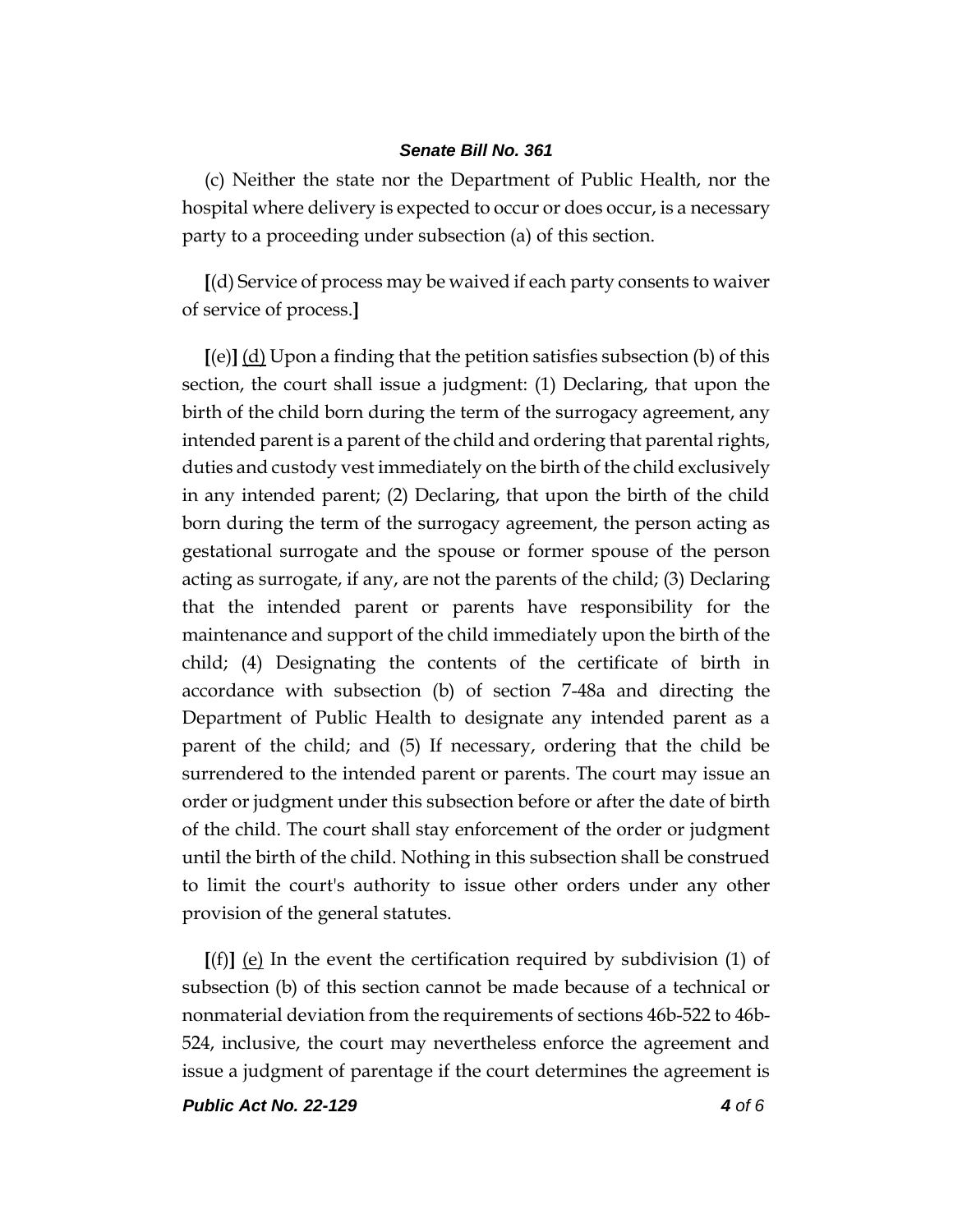(c) Neither the state nor the Department of Public Health, nor the hospital where delivery is expected to occur or does occur, is a necessary party to a proceeding under subsection (a) of this section.

**[**(d) Service of process may be waived if each party consents to waiver of service of process.**]**

**[**(e)**]** (d) Upon a finding that the petition satisfies subsection (b) of this section, the court shall issue a judgment: (1) Declaring, that upon the birth of the child born during the term of the surrogacy agreement, any intended parent is a parent of the child and ordering that parental rights, duties and custody vest immediately on the birth of the child exclusively in any intended parent; (2) Declaring, that upon the birth of the child born during the term of the surrogacy agreement, the person acting as gestational surrogate and the spouse or former spouse of the person acting as surrogate, if any, are not the parents of the child; (3) Declaring that the intended parent or parents have responsibility for the maintenance and support of the child immediately upon the birth of the child; (4) Designating the contents of the certificate of birth in accordance with subsection (b) of section 7-48a and directing the Department of Public Health to designate any intended parent as a parent of the child; and (5) If necessary, ordering that the child be surrendered to the intended parent or parents. The court may issue an order or judgment under this subsection before or after the date of birth of the child. The court shall stay enforcement of the order or judgment until the birth of the child. Nothing in this subsection shall be construed to limit the court's authority to issue other orders under any other provision of the general statutes.

**[**(f)**]** (e) In the event the certification required by subdivision (1) of subsection (b) of this section cannot be made because of a technical or nonmaterial deviation from the requirements of sections 46b-522 to 46b-524, inclusive, the court may nevertheless enforce the agreement and issue a judgment of parentage if the court determines the agreement is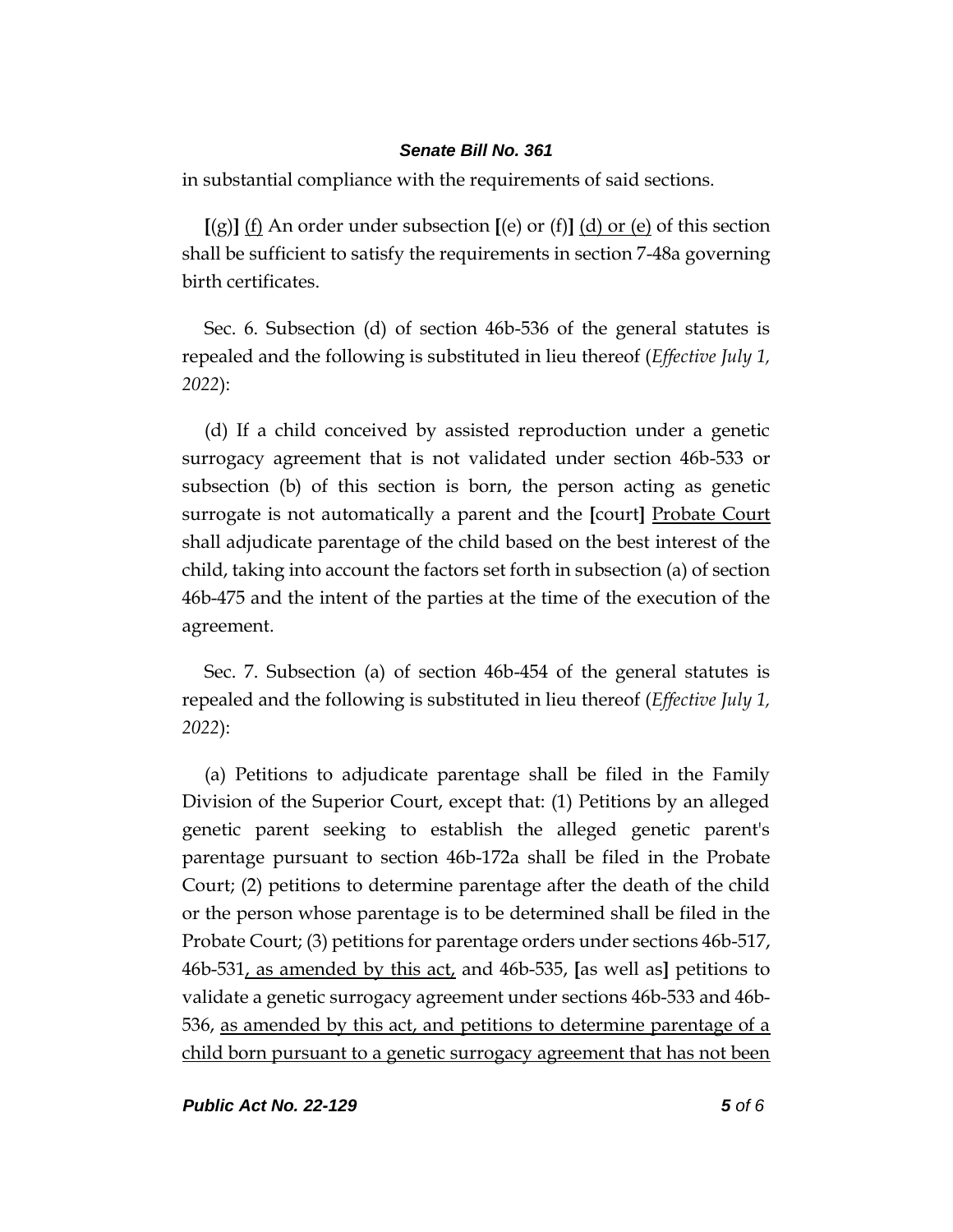in substantial compliance with the requirements of said sections.

**[**(g)**]** (f) An order under subsection **[**(e) or (f)**]** (d) or (e) of this section shall be sufficient to satisfy the requirements in section 7-48a governing birth certificates.

Sec. 6. Subsection (d) of section 46b-536 of the general statutes is repealed and the following is substituted in lieu thereof (*Effective July 1, 2022*):

(d) If a child conceived by assisted reproduction under a genetic surrogacy agreement that is not validated under section 46b-533 or subsection (b) of this section is born, the person acting as genetic surrogate is not automatically a parent and the **[**court**]** Probate Court shall adjudicate parentage of the child based on the best interest of the child, taking into account the factors set forth in subsection (a) of section 46b-475 and the intent of the parties at the time of the execution of the agreement.

Sec. 7. Subsection (a) of section 46b-454 of the general statutes is repealed and the following is substituted in lieu thereof (*Effective July 1, 2022*):

(a) Petitions to adjudicate parentage shall be filed in the Family Division of the Superior Court, except that: (1) Petitions by an alleged genetic parent seeking to establish the alleged genetic parent's parentage pursuant to section 46b-172a shall be filed in the Probate Court; (2) petitions to determine parentage after the death of the child or the person whose parentage is to be determined shall be filed in the Probate Court; (3) petitions for parentage orders under sections 46b-517, 46b-531, as amended by this act, and 46b-535, **[**as well as**]** petitions to validate a genetic surrogacy agreement under sections 46b-533 and 46b-536, as amended by this act, and petitions to determine parentage of a child born pursuant to a genetic surrogacy agreement that has not been